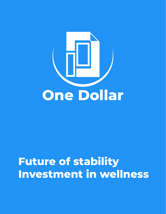

# **Future of stability Investment in wellness**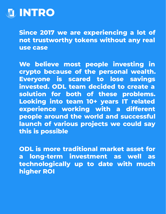

**Since 2017 we are experiencing a lot of not trustworthy tokens without any real use case**

**We believe most people investing in crypto because of the personal wealth. Everyone is scared to lose savings invested. ODL team decided to create a solution for both of these problems. Looking into team 10+ years IT related experience working with a different people around the world and successful launch of various projects we could say this is possible**

**ODL is more traditional market asset for a long-term investment as well as technologically up to date with much higher ROI**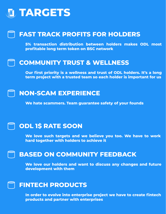## **TARGETS**

## **FAST TRACK PROFITS FOR HOLDERS**

**5% transaction distribution between holders makes ODL most profitable long term token on BSC network**

#### **COMMUNITY TRUST & WELLNESS**

**Our first priority is a wellness and trust of ODL holders. It's a long term project with a trusted team so each holder is important for us**

### **NON-SCAM EXPERIENCE**

**We hate scammers. Team guarantee safety of your founds**

## **ODL 1\$ RATE SOON**

**We love such targets and we believe you too. We have to work hard together with holders to achieve it**

#### **BASED ON COMMUNITY FEEDBACK**

**We love our holders and want to discuss any changes and future development with them**

## **FINTECH PRODUCTS**

**In order to evolve into enterprise project we have to create fintech products and partner with enterprises**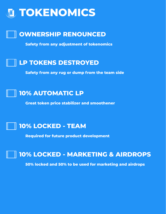



**Safety from any adjustment of tokenomics**

## **LP TOKENS DESTROYED**

**Safety from any rug or dump from the team side**



**Great token price stabilizer and smoothener**

## **10% LOCKED - TEAM**

**Required for future product development**

## **10% LOCKED - MARKETING & AIRDROPS**

**50% locked and 50% to be used for marketing and airdrops**